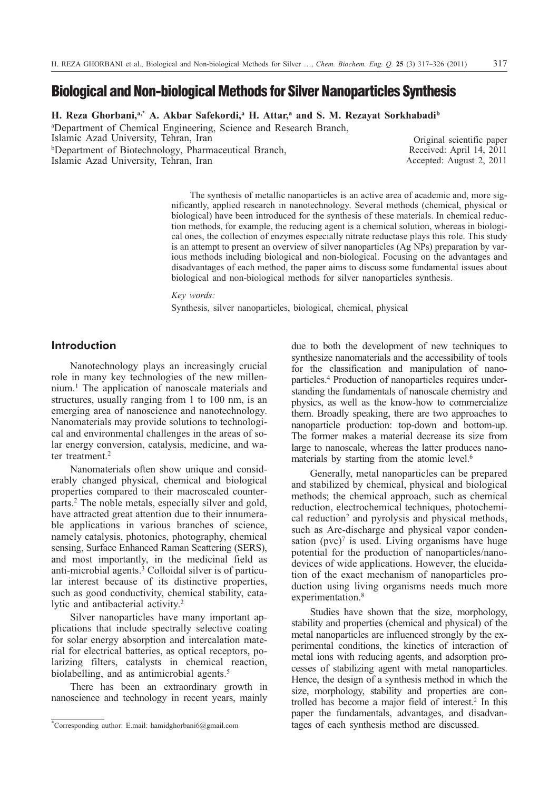# **Biological and Non-biological Methods for Silver Nanoparticles Synthesis**

**H. Reza Ghorbani,a,\* A. Akbar Safekordi,a H. Attar,a and S. M. Rezayat Sorkhabadib**

a Department of Chemical Engineering, Science and Research Branch, Islamic Azad University, Tehran, Iran bDepartment of Biotechnology, Pharmaceutical Branch, Islamic Azad University, Tehran, Iran

Original scientific paper Received: April 14, 2011 Accepted: August 2, 2011

The synthesis of metallic nanoparticles is an active area of academic and, more significantly, applied research in nanotechnology. Several methods (chemical, physical or biological) have been introduced for the synthesis of these materials. In chemical reduction methods, for example, the reducing agent is a chemical solution, whereas in biological ones, the collection of enzymes especially nitrate reductase plays this role. This study is an attempt to present an overview of silver nanoparticles (Ag NPs) preparation by various methods including biological and non-biological. Focusing on the advantages and disadvantages of each method, the paper aims to discuss some fundamental issues about biological and non-biological methods for silver nanoparticles synthesis.

*Key words:*

Synthesis, silver nanoparticles, biological, chemical, physical

# **Introduction**

Nanotechnology plays an increasingly crucial role in many key technologies of the new millennium.1 The application of nanoscale materials and structures, usually ranging from 1 to 100 nm, is an emerging area of nanoscience and nanotechnology. Nanomaterials may provide solutions to technological and environmental challenges in the areas of solar energy conversion, catalysis, medicine, and water treatment.<sup>2</sup>

Nanomaterials often show unique and considerably changed physical, chemical and biological properties compared to their macroscaled counterparts.2 The noble metals, especially silver and gold, have attracted great attention due to their innumerable applications in various branches of science, namely catalysis, photonics, photography, chemical sensing, Surface Enhanced Raman Scattering (SERS), and most importantly, in the medicinal field as anti-microbial agents.3 Colloidal silver is of particular interest because of its distinctive properties, such as good conductivity, chemical stability, catalytic and antibacterial activity.2

Silver nanoparticles have many important applications that include spectrally selective coating for solar energy absorption and intercalation material for electrical batteries, as optical receptors, polarizing filters, catalysts in chemical reaction, biolabelling, and as antimicrobial agents.<sup>5</sup>

There has been an extraordinary growth in nanoscience and technology in recent years, mainly due to both the development of new techniques to synthesize nanomaterials and the accessibility of tools for the classification and manipulation of nanoparticles.4 Production of nanoparticles requires understanding the fundamentals of nanoscale chemistry and physics, as well as the know-how to commercialize them. Broadly speaking, there are two approaches to nanoparticle production: top-down and bottom-up. The former makes a material decrease its size from large to nanoscale, whereas the latter produces nanomaterials by starting from the atomic level.<sup>6</sup>

Generally, metal nanoparticles can be prepared and stabilized by chemical, physical and biological methods; the chemical approach, such as chemical reduction, electrochemical techniques, photochemical reduction<sup>2</sup> and pyrolysis and physical methods, such as Arc-discharge and physical vapor condensation  $(pvc)^7$  is used. Living organisms have huge potential for the production of nanoparticles/nanodevices of wide applications. However, the elucidation of the exact mechanism of nanoparticles production using living organisms needs much more experimentation.<sup>8</sup>

Studies have shown that the size, morphology, stability and properties (chemical and physical) of the metal nanoparticles are influenced strongly by the experimental conditions, the kinetics of interaction of metal ions with reducing agents, and adsorption processes of stabilizing agent with metal nanoparticles. Hence, the design of a synthesis method in which the size, morphology, stability and properties are controlled has become a major field of interest.<sup>2</sup> In this paper the fundamentals, advantages, and disadvantages of each synthesis method are discussed.

<sup>\*</sup>Corresponding author: E.mail: hamidghorbani6@gmail.com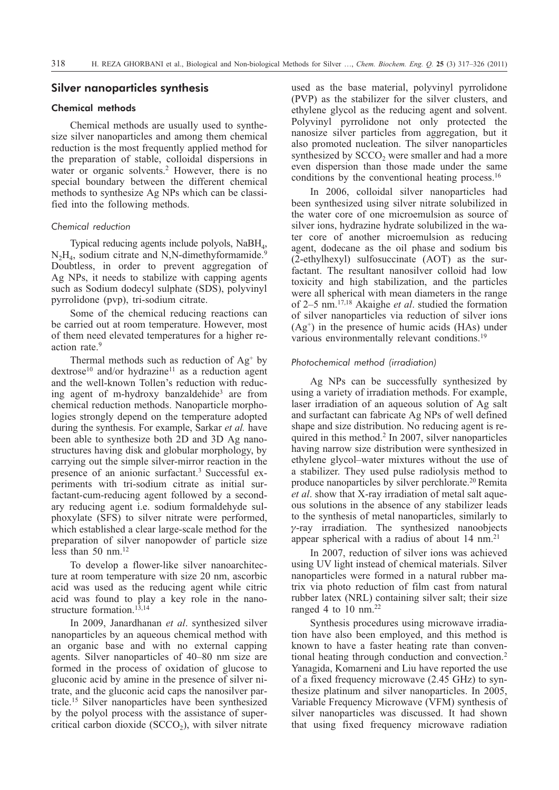# **Silver nanoparticles synthesis**

# Chemical methods

Chemical methods are usually used to synthesize silver nanoparticles and among them chemical reduction is the most frequently applied method for the preparation of stable, colloidal dispersions in water or organic solvents.<sup>2</sup> However, there is no special boundary between the different chemical methods to synthesize Ag NPs which can be classified into the following methods.

#### *Chemical reduction*

Typical reducing agents include polyols,  $N$ a $BH<sub>4</sub>$ ,  $N_2H_4$ , sodium citrate and N,N-dimethyformamide.<sup>9</sup> Doubtless, in order to prevent aggregation of Ag NPs, it needs to stabilize with capping agents such as Sodium dodecyl sulphate (SDS), polyvinyl pyrrolidone (pvp), tri-sodium citrate.

Some of the chemical reducing reactions can be carried out at room temperature. However, most of them need elevated temperatures for a higher reaction rate.<sup>9</sup>

Thermal methods such as reduction of  $Ag<sup>+</sup>$  by  $d$ extrose<sup>10</sup> and/or hydrazine<sup>11</sup> as a reduction agent and the well-known Tollen's reduction with reducing agent of m-hydroxy banzaldehide<sup>3</sup> are from chemical reduction methods. Nanoparticle morphologies strongly depend on the temperature adopted during the synthesis. For example, Sarkar *et al.* have been able to synthesize both 2D and 3D Ag nanostructures having disk and globular morphology, by carrying out the simple silver-mirror reaction in the presence of an anionic surfactant.<sup>3</sup> Successful experiments with tri-sodium citrate as initial surfactant-cum-reducing agent followed by a secondary reducing agent i.e. sodium formaldehyde sulphoxylate (SFS) to silver nitrate were performed, which established a clear large-scale method for the preparation of silver nanopowder of particle size less than  $50 \text{ nm}$ .<sup>12</sup>

To develop a flower-like silver nanoarchitecture at room temperature with size 20 nm, ascorbic acid was used as the reducing agent while citric acid was found to play a key role in the nanostructure formation.<sup>13,14</sup>

In 2009, Janardhanan *et al*. synthesized silver nanoparticles by an aqueous chemical method with an organic base and with no external capping agents. Silver nanoparticles of 40–80 nm size are formed in the process of oxidation of glucose to gluconic acid by amine in the presence of silver nitrate, and the gluconic acid caps the nanosilver particle.15 Silver nanoparticles have been synthesized by the polyol process with the assistance of supercritical carbon dioxide  $(SCCO<sub>2</sub>)$ , with silver nitrate used as the base material, polyvinyl pyrrolidone (PVP) as the stabilizer for the silver clusters, and ethylene glycol as the reducing agent and solvent. Polyvinyl pyrrolidone not only protected the nanosize silver particles from aggregation, but it also promoted nucleation. The silver nanoparticles synthesized by  $SCCO<sub>2</sub>$  were smaller and had a more even dispersion than those made under the same conditions by the conventional heating process.<sup>16</sup>

In 2006, colloidal silver nanoparticles had been synthesized using silver nitrate solubilized in the water core of one microemulsion as source of silver ions, hydrazine hydrate solubilized in the water core of another microemulsion as reducing agent, dodecane as the oil phase and sodium bis (2-ethylhexyl) sulfosuccinate (AOT) as the surfactant. The resultant nanosilver colloid had low toxicity and high stabilization, and the particles were all spherical with mean diameters in the range of 2–5 nm.17,18 Akaighe *et al*. studied the formation of silver nanoparticles via reduction of silver ions  $(Ag<sup>+</sup>)$  in the presence of humic acids (HAs) under various environmentally relevant conditions.<sup>19</sup>

#### *Photochemical method (irradiation)*

Ag NPs can be successfully synthesized by using a variety of irradiation methods. For example, laser irradiation of an aqueous solution of Ag salt and surfactant can fabricate Ag NPs of well defined shape and size distribution. No reducing agent is required in this method.2 In 2007, silver nanoparticles having narrow size distribution were synthesized in ethylene glycol–water mixtures without the use of a stabilizer. They used pulse radiolysis method to produce nanoparticles by silver perchlorate.20 Remita *et al*. show that X-ray irradiation of metal salt aqueous solutions in the absence of any stabilizer leads to the synthesis of metal nanoparticles, similarly to --ray irradiation. The synthesized nanoobjects appear spherical with a radius of about  $14 \text{ nm}$ <sup>21</sup>

In 2007, reduction of silver ions was achieved using UV light instead of chemical materials. Silver nanoparticles were formed in a natural rubber matrix via photo reduction of film cast from natural rubber latex (NRL) containing silver salt; their size ranged 4 to 10 nm.<sup>22</sup>

Synthesis procedures using microwave irradiation have also been employed, and this method is known to have a faster heating rate than conventional heating through conduction and convection.2 Yanagida, Komarneni and Liu have reported the use of a fixed frequency microwave (2.45 GHz) to synthesize platinum and silver nanoparticles. In 2005, Variable Frequency Microwave (VFM) synthesis of silver nanoparticles was discussed. It had shown that using fixed frequency microwave radiation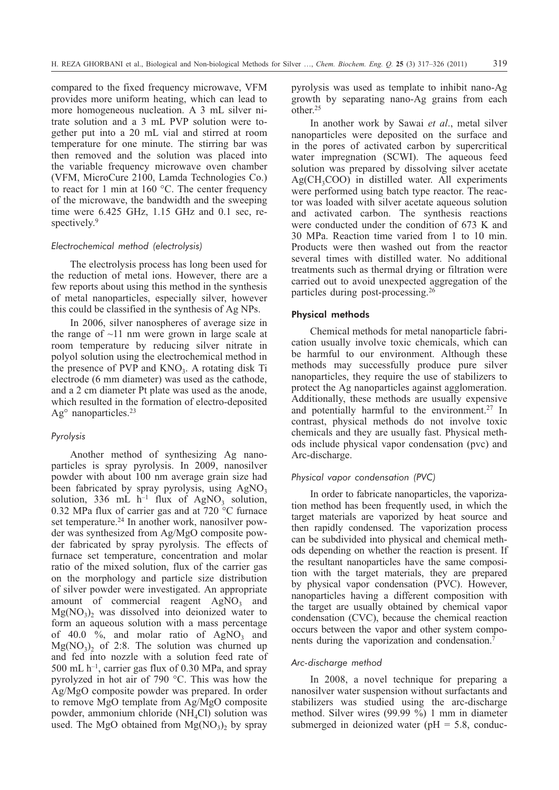compared to the fixed frequency microwave, VFM provides more uniform heating, which can lead to more homogeneous nucleation. A 3 mL silver nitrate solution and a 3 mL PVP solution were together put into a 20 mL vial and stirred at room temperature for one minute. The stirring bar was then removed and the solution was placed into the variable frequency microwave oven chamber (VFM, MicroCure 2100, Lamda Technologies Co.) to react for 1 min at 160 °C. The center frequency of the microwave, the bandwidth and the sweeping time were 6.425 GHz, 1.15 GHz and 0.1 sec, respectively.<sup>9</sup>

#### *Electrochemical method (electrolysis)*

The electrolysis process has long been used for the reduction of metal ions. However, there are a few reports about using this method in the synthesis of metal nanoparticles, especially silver, however this could be classified in the synthesis of Ag NPs.

In 2006, silver nanospheres of average size in the range of  $\sim$ 11 nm were grown in large scale at room temperature by reducing silver nitrate in polyol solution using the electrochemical method in the presence of PVP and  $KNO<sub>3</sub>$ . A rotating disk Ti electrode (6 mm diameter) was used as the cathode, and a 2 cm diameter Pt plate was used as the anode, which resulted in the formation of electro-deposited  $Ag<sup>o</sup>$  nanoparticles.<sup>23</sup>

#### *Pyrolysis*

Another method of synthesizing Ag nanoparticles is spray pyrolysis. In 2009, nanosilver powder with about 100 nm average grain size had been fabricated by spray pyrolysis, using  $AgNO<sub>3</sub>$ solution, 336 mL  $h^{-1}$  flux of AgNO<sub>3</sub> solution, 0.32 MPa flux of carrier gas and at 720 °C furnace set temperature.<sup>24</sup> In another work, nanosilver powder was synthesized from Ag/MgO composite powder fabricated by spray pyrolysis. The effects of furnace set temperature, concentration and molar ratio of the mixed solution, flux of the carrier gas on the morphology and particle size distribution of silver powder were investigated. An appropriate amount of commercial reagent  $AgNO<sub>3</sub>$  and  $Mg(NO<sub>3</sub>)$ , was dissolved into deionized water to form an aqueous solution with a mass percentage of 40.0  $\%$ , and molar ratio of AgNO<sub>3</sub> and  $Mg(NO<sub>3</sub>)<sub>2</sub>$  of 2:8. The solution was churned up and fed into nozzle with a solution feed rate of 500 mL  $h^{-1}$ , carrier gas flux of 0.30 MPa, and spray pyrolyzed in hot air of 790 °C. This was how the Ag/MgO composite powder was prepared. In order to remove MgO template from Ag/MgO composite powder, ammonium chloride  $(NH<sub>4</sub>Cl)$  solution was used. The MgO obtained from  $Mg(NO_3)$ , by spray

pyrolysis was used as template to inhibit nano-Ag growth by separating nano-Ag grains from each other.25

In another work by Sawai *et al*., metal silver nanoparticles were deposited on the surface and in the pores of activated carbon by supercritical water impregnation (SCWI). The aqueous feed solution was prepared by dissolving silver acetate  $Ag(CH_3COO)$  in distilled water. All experiments were performed using batch type reactor. The reactor was loaded with silver acetate aqueous solution and activated carbon. The synthesis reactions were conducted under the condition of 673 K and 30 MPa. Reaction time varied from 1 to 10 min. Products were then washed out from the reactor several times with distilled water. No additional treatments such as thermal drying or filtration were carried out to avoid unexpected aggregation of the particles during post-processing.26

## Physical methods

Chemical methods for metal nanoparticle fabrication usually involve toxic chemicals, which can be harmful to our environment. Although these methods may successfully produce pure silver nanoparticles, they require the use of stabilizers to protect the Ag nanoparticles against agglomeration. Additionally, these methods are usually expensive and potentially harmful to the environment.<sup>27</sup> In contrast, physical methods do not involve toxic chemicals and they are usually fast. Physical methods include physical vapor condensation (pvc) and Arc-discharge.

### *Physical vapor condensation (PVC)*

In order to fabricate nanoparticles, the vaporization method has been frequently used, in which the target materials are vaporized by heat source and then rapidly condensed. The vaporization process can be subdivided into physical and chemical methods depending on whether the reaction is present. If the resultant nanoparticles have the same composition with the target materials, they are prepared by physical vapor condensation (PVC). However, nanoparticles having a different composition with the target are usually obtained by chemical vapor condensation (CVC), because the chemical reaction occurs between the vapor and other system components during the vaporization and condensation.<sup>7</sup>

#### *Arc-discharge method*

In 2008, a novel technique for preparing a nanosilver water suspension without surfactants and stabilizers was studied using the arc-discharge method. Silver wires (99.99 %) 1 mm in diameter submerged in deionized water ( $pH = 5.8$ , conduc-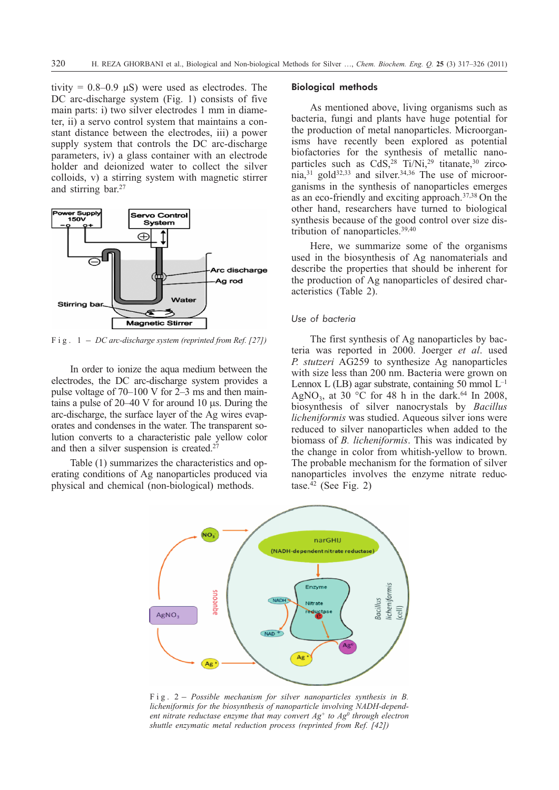tivity =  $0.8{\text -}0.9$   $\mu$ S) were used as electrodes. The DC arc-discharge system (Fig. 1) consists of five main parts: i) two silver electrodes 1 mm in diameter, ii) a servo control system that maintains a constant distance between the electrodes, iii) a power supply system that controls the DC arc-discharge parameters, iv) a glass container with an electrode holder and deionized water to collect the silver colloids, v) a stirring system with magnetic stirrer and stirring bar.27



In order to ionize the aqua medium between the electrodes, the DC arc-discharge system provides a pulse voltage of 70–100 V for 2–3 ms and then maintains a pulse of  $20-40$  V for around 10  $\mu$ s. During the arc-discharge, the surface layer of the Ag wires evaporates and condenses in the water. The transparent solution converts to a characteristic pale yellow color and then a silver suspension is created.<sup>2</sup>

Table (1) summarizes the characteristics and operating conditions of Ag nanoparticles produced via physical and chemical (non-biological) methods.

#### Biological methods

As mentioned above, living organisms such as bacteria, fungi and plants have huge potential for the production of metal nanoparticles. Microorganisms have recently been explored as potential biofactories for the synthesis of metallic nanoparticles such as  $CdS<sub>1</sub><sup>28</sup> Ti/Ni<sub>1</sub><sup>29</sup> titanate<sub>1</sub><sup>30</sup> ziroo$ nia, $31$  gold $32,33$  and silver. $34,36$  The use of microorganisms in the synthesis of nanoparticles emerges as an eco-friendly and exciting approach.37,38 On the other hand, researchers have turned to biological synthesis because of the good control over size distribution of nanoparticles.39,40

Here, we summarize some of the organisms used in the biosynthesis of Ag nanomaterials and describe the properties that should be inherent for the production of Ag nanoparticles of desired characteristics (Table 2).

## *Use of bacteria*

The first synthesis of Ag nanoparticles by bacteria was reported in 2000. Joerger *et al*. used *P. stutzeri* AG259 to synthesize Ag nanoparticles with size less than 200 nm. Bacteria were grown on Lennox L (LB) agar substrate, containing 50 mmol  $L^{-1}$ AgNO<sub>3</sub>, at 30 °C for 48 h in the dark.<sup>64</sup> In 2008, biosynthesis of silver nanocrystals by *Bacillus licheniformis* was studied. Aqueous silver ions were reduced to silver nanoparticles when added to the biomass of *B. licheniformis*. This was indicated by the change in color from whitish-yellow to brown. The probable mechanism for the formation of silver nanoparticles involves the enzyme nitrate reductase. $42$  (See Fig. 2)



*licheniformis for the biosynthesis of nanoparticle involving NADH-dependent nitrate reductase enzyme that may convert Ag+ to Ag0 through electron shuttle enzymatic metal reduction process (reprinted from Ref. [42])*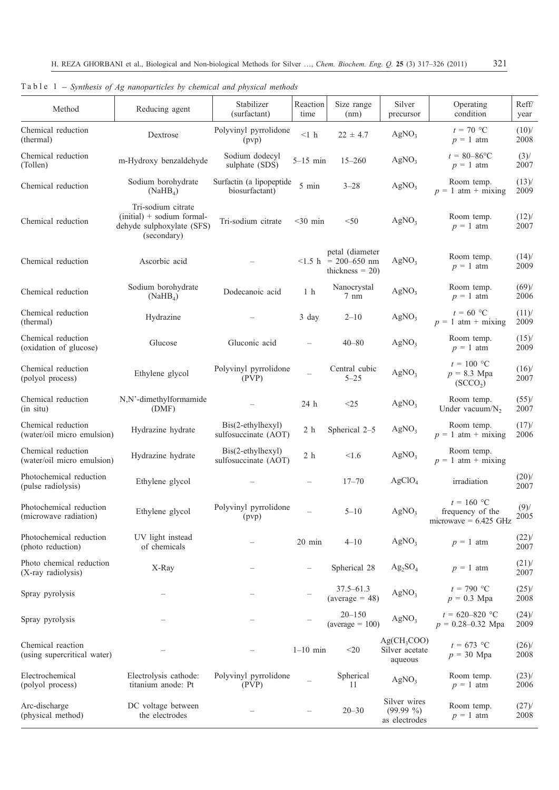| Method                                           | Reducing agent                                                                                | Stabilizer<br>(surfactant)                 | Reaction<br>time | Size range<br>(nm)                                                                            | Silver<br>precursor                           | Operating<br>condition                                      | Reff/<br>year    |
|--------------------------------------------------|-----------------------------------------------------------------------------------------------|--------------------------------------------|------------------|-----------------------------------------------------------------------------------------------|-----------------------------------------------|-------------------------------------------------------------|------------------|
| Chemical reduction<br>(thermal)                  | Dextrose                                                                                      | Polyvinyl pyrrolidone<br>(pvp)             | $<1\,$ h         | $22 \pm 4.7$                                                                                  | AgNO <sub>3</sub>                             | $t = 70$ °C<br>$p = 1$ atm                                  | (10)<br>2008     |
| Chemical reduction<br>(Tollen)                   | m-Hydroxy benzaldehyde                                                                        | Sodium dodecyl<br>sulphate (SDS)           | $5-15$ min       | $15 - 260$                                                                                    | AgNO <sub>3</sub>                             | $t = 80 - 86$ °C<br>$p = 1$ atm                             | $(3)$ /<br>2007  |
| Chemical reduction                               | Sodium borohydrate<br>(NaHB <sub>4</sub> )                                                    | Surfactin (a lipopeptide<br>biosurfactant) | $5\,$ min        | $3 - 28$                                                                                      | AgNO <sub>3</sub>                             | Room temp.<br>$p = 1$ atm + mixing                          | (13)<br>2009     |
| Chemical reduction                               | Tri-sodium citrate<br>$(intial)$ + sodium formal-<br>dehyde sulphoxylate (SFS)<br>(secondary) | Tri-sodium citrate                         | $<$ 30 min       | $<$ 50                                                                                        | AgNO <sub>3</sub>                             | Room temp.<br>$p = 1$ atm                                   | $(12)$ /<br>2007 |
| Chemical reduction                               | Ascorbic acid                                                                                 |                                            |                  | petal (diameter<br>$\langle 1.5 \text{ h} \rangle = 200 - 650 \text{ nm}$<br>thickness $= 20$ | AgNO <sub>3</sub>                             | Room temp.<br>$p = 1$ atm                                   | (14)<br>2009     |
| Chemical reduction                               | Sodium borohydrate<br>(NaHB <sub>4</sub> )                                                    | Dodecanoic acid                            | 1 <sub>h</sub>   | Nanocrystal<br>$7 \text{ nm}$                                                                 | AgNO <sub>3</sub>                             | Room temp.<br>$p = 1$ atm                                   | (69)<br>2006     |
| Chemical reduction<br>(thermal)                  | Hydrazine                                                                                     |                                            | 3 day            | $2 - 10$                                                                                      | AgNO <sub>3</sub>                             | $t = 60$ °C<br>$p = 1$ atm + mixing                         | (11)<br>2009     |
| Chemical reduction<br>(oxidation of glucose)     | Glucose                                                                                       | Gluconic acid                              |                  | $40 - 80$                                                                                     | AgNO <sub>3</sub>                             | Room temp.<br>$p = 1$ atm                                   | $(15)$ /<br>2009 |
| Chemical reduction<br>(polyol process)           | Ethylene glycol                                                                               | Polyvinyl pyrrolidone<br>(PVP)             |                  | Central cubic<br>$5 - 25$                                                                     | AgNO <sub>3</sub>                             | $t = 100 °C$<br>$p = 8.3$ Mpa<br>(SCCO <sub>2</sub> )       | (16)<br>2007     |
| Chemical reduction<br>(in situ)                  | N,N'-dimethylformamide<br>(DMF)                                                               |                                            | 24 h             | <25                                                                                           | AgNO <sub>3</sub>                             | Room temp.<br>Under vacuum/ $N_2$                           | (55)<br>2007     |
| Chemical reduction<br>(water/oil micro emulsion) | Hydrazine hydrate                                                                             | Bis(2-ethylhexyl)<br>sulfosuccinate (AOT)  | 2 <sub>h</sub>   | Spherical 2-5                                                                                 | AgNO <sub>3</sub>                             | Room temp.<br>$p = 1$ atm + mixing                          | $(17)$ /<br>2006 |
| Chemical reduction<br>(water/oil micro emulsion) | Hydrazine hydrate                                                                             | Bis(2-ethylhexyl)<br>sulfosuccinate (AOT)  | 2 <sub>h</sub>   | < 1.6                                                                                         | AgNO <sub>3</sub>                             | Room temp.<br>$p = 1$ atm + mixing                          |                  |
| Photochemical reduction<br>(pulse radiolysis)    | Ethylene glycol                                                                               |                                            |                  | $17 - 70$                                                                                     | AgClO <sub>4</sub>                            | irradiation                                                 | $(20)$ /<br>2007 |
| Photochemical reduction<br>(microwave radiation) | Ethylene glycol                                                                               | Polyvinyl pyrrolidone<br>(pvp)             |                  | $5 - 10$                                                                                      | AgNO <sub>3</sub>                             | $t = 160$ °C<br>frequency of the<br>microwave = $6.425$ GHz | (9)<br>2005      |
| Photochemical reduction<br>(photo reduction)     | UV light instead<br>of chemicals                                                              |                                            | 20 min           | $4 - 10$                                                                                      | AgNO <sub>3</sub>                             | $p = 1$ atm                                                 | $(22)$ /<br>2007 |
| Photo chemical reduction<br>(X-ray radiolysis)   | X-Ray                                                                                         |                                            |                  | Spherical 28                                                                                  | $Ag_2SO_4$                                    | $p = 1$ atm                                                 | $(21)$ /<br>2007 |
| Spray pyrolysis                                  |                                                                                               |                                            |                  | $37.5 - 61.3$<br>$(average = 48)$                                                             | AgNO <sub>3</sub>                             | $t = 790$ °C<br>$p = 0.3$ Mpa                               | $(25)$ /<br>2008 |
| Spray pyrolysis                                  |                                                                                               |                                            |                  | $20 - 150$<br>$(average = 100)$                                                               | AgNO <sub>3</sub>                             | $t = 620 - 820$ °C<br>$p = 0.28 - 0.32$ Mpa                 | (24)<br>2009     |
| Chemical reaction<br>(using supercritical water) |                                                                                               |                                            | $1-10$ min       | $<$ 20                                                                                        | $Ag(CH_3COO)$<br>Silver acetate<br>aqueous    | $t = 673$ °C<br>$p = 30$ Mpa                                | (26)<br>2008     |
| Electrochemical<br>(polyol process)              | Electrolysis cathode:<br>titanium anode: Pt                                                   | Polyvinyl pyrrolidone<br>(PVP)             |                  | Spherical<br>11                                                                               | AgNO <sub>3</sub>                             | Room temp.<br>$p = 1$ atm                                   | $(23)$ /<br>2006 |
| Arc-discharge<br>(physical method)               | DC voltage between<br>the electrodes                                                          |                                            |                  | $20 - 30$                                                                                     | Silver wires<br>$(99.99\% )$<br>as electrodes | Room temp.<br>$p = 1$ atm                                   | $(27)$ /<br>2008 |

|                                                                          | H. REZA GHORBANI et al., Biological and Non-biological Methods for Silve |  |  |  |  |  |  |  |
|--------------------------------------------------------------------------|--------------------------------------------------------------------------|--|--|--|--|--|--|--|
| Table 1 – Synthesis of Ag nanoparticles by chemical and physical methods |                                                                          |  |  |  |  |  |  |  |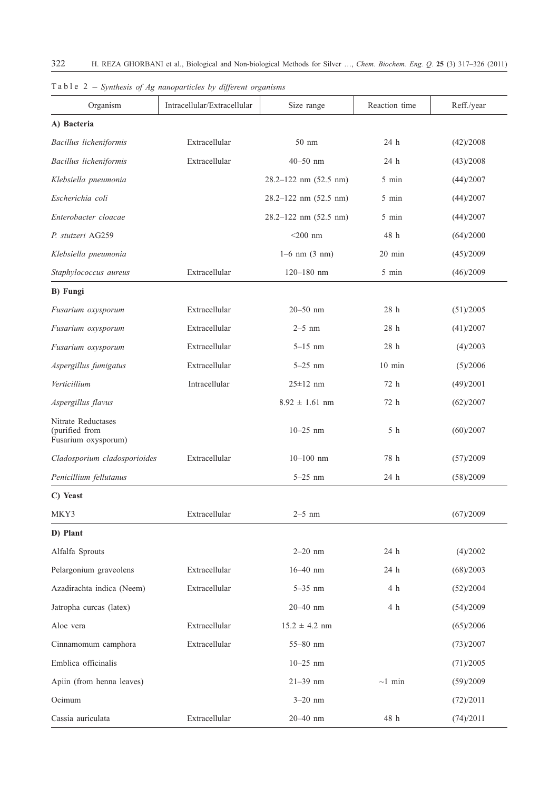| Organism                                                    | Intracellular/Extracellular | Size range                  | Reaction time   | Reff./year |  |
|-------------------------------------------------------------|-----------------------------|-----------------------------|-----------------|------------|--|
| A) Bacteria                                                 |                             |                             |                 |            |  |
| Bacillus licheniformis                                      | Extracellular               | 50 nm                       | 24 h            | (42)/2008  |  |
| Bacillus licheniformis                                      | Extracellular               | $40 - 50$ nm                | 24 h            | (43)/2008  |  |
| Klebsiella pneumonia                                        |                             | $28.2 - 122$ nm $(52.5$ nm) | 5 min           | (44)/2007  |  |
| Escherichia coli                                            |                             | $28.2 - 122$ nm $(52.5$ nm) | 5 min           | (44)/2007  |  |
| Enterobacter cloacae                                        |                             | $28.2 - 122$ nm $(52.5$ nm) | 5 min           | (44)/2007  |  |
| P. stutzeri AG259                                           |                             | $<$ 200 nm                  | 48 h            | (64)/2000  |  |
| Klebsiella pneumonia                                        |                             | $1-6$ nm $(3 \text{ nm})$   | 20 min          | (45)/2009  |  |
| Staphylococcus aureus                                       | Extracellular               | $120 - 180$ nm              | 5 min           | (46)/2009  |  |
| <b>B)</b> Fungi                                             |                             |                             |                 |            |  |
| Fusarium oxysporum                                          | Extracellular               | $20 - 50$ nm                | 28 h            | (51)/2005  |  |
| Fusarium oxysporum                                          | Extracellular               | $2-5$ nm                    | 28 <sub>h</sub> | (41)/2007  |  |
| Fusarium oxysporum                                          | Extracellular               | $5 - 15$ nm                 | 28 h            | (4)/2003   |  |
| Aspergillus fumigatus                                       | Extracellular               | $5 - 25$ nm                 | $10$ min        | (5)/2006   |  |
| Verticillium                                                | Intracellular               | $25 \pm 12$ nm              | 72 h            | (49)/2001  |  |
| Aspergillus flavus                                          |                             | $8.92 \pm 1.61$ nm          | 72 h            | (62)/2007  |  |
| Nitrate Reductases<br>(purified from<br>Fusarium oxysporum) |                             | $10 - 25$ nm                | 5 h             | (60)/2007  |  |
| Cladosporium cladosporioides                                | Extracellular               | $10 - 100$ nm               | 78 h            | (57)/2009  |  |
| Penicillium fellutanus                                      |                             | $5 - 25$ nm                 | 24 h            | (58)/2009  |  |
| C) Yeast                                                    |                             |                             |                 |            |  |
| MKY3                                                        | Extracellular               | $2-5$ nm                    |                 | (67)/2009  |  |
| D) Plant                                                    |                             |                             |                 |            |  |
| Alfalfa Sprouts                                             |                             | $2 - 20$ nm                 | 24 h            | (4)/2002   |  |
| Pelargonium graveolens                                      | Extracellular               | $16 - 40$ nm                | 24 h            | (68)/2003  |  |
| Azadirachta indica (Neem)                                   | Extracellular               | $5 - 35$ nm                 | 4 h             | (52)/2004  |  |
| Jatropha curcas (latex)                                     |                             | 20-40 nm                    | $4\,$ h         | (54)/2009  |  |
| Aloe vera                                                   | Extracellular               | $15.2 \pm 4.2$ nm           |                 | (65)/2006  |  |
| Cinnamomum camphora                                         | Extracellular               | 55-80 nm                    |                 | (73)/2007  |  |
| Emblica officinalis                                         |                             | $10 - 25$ nm                |                 | (71)/2005  |  |
| Apiin (from henna leaves)                                   |                             | $21 - 39$ nm                | $\sim$ 1 min    | (59)/2009  |  |
| Ocimum                                                      |                             | $3 - 20$ nm                 |                 | (72)/2011  |  |
| Cassia auriculata                                           | Extracellular               | 20-40 nm                    | $48\,$ h        | (74)/2011  |  |

Table 2 – *Synthesis of Ag nanoparticles by different organisms*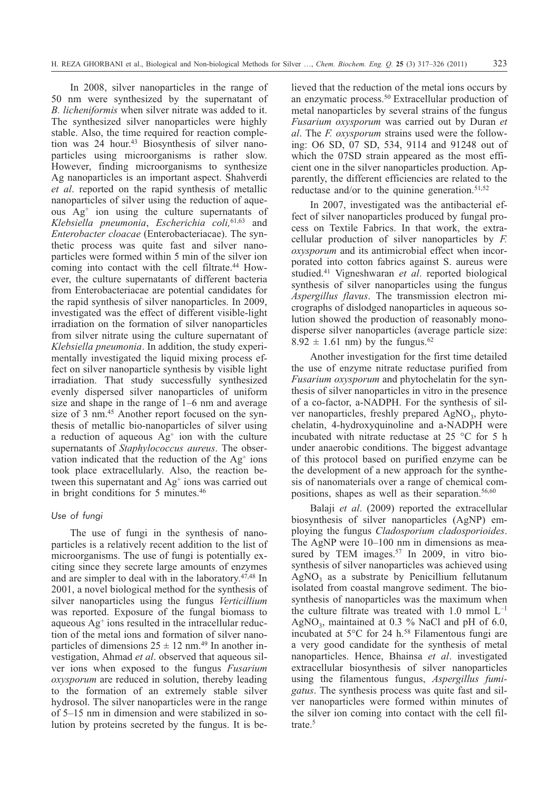In 2008, silver nanoparticles in the range of 50 nm were synthesized by the supernatant of *B. licheniformis* when silver nitrate was added to it. The synthesized silver nanoparticles were highly stable. Also, the time required for reaction completion was 24 hour.<sup>43</sup> Biosynthesis of silver nanoparticles using microorganisms is rather slow. However, finding microorganisms to synthesize Ag nanoparticles is an important aspect. Shahverdi *et al*. reported on the rapid synthesis of metallic nanoparticles of silver using the reduction of aqueous Ag+ ion using the culture supernatants of *Klebsiella pneumonia*, *Escherichia coli,*61,63 and *Enterobacter cloacae* (Enterobacteriacae). The synthetic process was quite fast and silver nanoparticles were formed within 5 min of the silver ion coming into contact with the cell filtrate.<sup>44</sup> However, the culture supernatants of different bacteria from Enterobacteriacae are potential candidates for the rapid synthesis of silver nanoparticles. In 2009, investigated was the effect of different visible-light irradiation on the formation of silver nanoparticles from silver nitrate using the culture supernatant of *Klebsiella pneumonia*. In addition, the study experimentally investigated the liquid mixing process effect on silver nanoparticle synthesis by visible light irradiation. That study successfully synthesized evenly dispersed silver nanoparticles of uniform size and shape in the range of 1–6 nm and average size of 3 nm.<sup>45</sup> Another report focused on the synthesis of metallic bio-nanoparticles of silver using a reduction of aqueous  $Ag<sup>+</sup>$  ion with the culture supernatants of *Staphylococcus aureus*. The observation indicated that the reduction of the  $Ag<sup>+</sup> ions$ took place extracellularly. Also, the reaction between this supernatant and  $Ag<sup>+</sup>$  ions was carried out in bright conditions for 5 minutes.46

#### *Use of fungi*

The use of fungi in the synthesis of nanoparticles is a relatively recent addition to the list of microorganisms. The use of fungi is potentially exciting since they secrete large amounts of enzymes and are simpler to deal with in the laboratory.47,48 In 2001, a novel biological method for the synthesis of silver nanoparticles using the fungus *Verticillium* was reported. Exposure of the fungal biomass to aqueous  $Ag<sup>+</sup>$  ions resulted in the intracellular reduction of the metal ions and formation of silver nanoparticles of dimensions  $25 \pm 12$  nm.<sup>49</sup> In another investigation, Ahmad *et al*. observed that aqueous silver ions when exposed to the fungus *Fusarium oxysporum* are reduced in solution, thereby leading to the formation of an extremely stable silver hydrosol. The silver nanoparticles were in the range of 5–15 nm in dimension and were stabilized in solution by proteins secreted by the fungus. It is believed that the reduction of the metal ions occurs by an enzymatic process.50 Extracellular production of metal nanoparticles by several strains of the fungus *Fusarium oxysporum* was carried out by Duran *et al*. The *F. oxysporum* strains used were the following: O6 SD, 07 SD, 534, 9114 and 91248 out of which the 07SD strain appeared as the most efficient one in the silver nanoparticles production. Apparently, the different efficiencies are related to the reductase and/or to the quinine generation. $51,52$ 

In 2007, investigated was the antibacterial effect of silver nanoparticles produced by fungal process on Textile Fabrics. In that work, the extracellular production of silver nanoparticles by *F. oxysporum* and its antimicrobial effect when incorporated into cotton fabrics against S. aureus were studied.41 Vigneshwaran *et al*. reported biological synthesis of silver nanoparticles using the fungus *Aspergillus flavus*. The transmission electron micrographs of dislodged nanoparticles in aqueous solution showed the production of reasonably monodisperse silver nanoparticles (average particle size:  $8.92 \pm 1.61$  nm) by the fungus.<sup>62</sup>

Another investigation for the first time detailed the use of enzyme nitrate reductase purified from *Fusarium oxysporum* and phytochelatin for the synthesis of silver nanoparticles in vitro in the presence of a co-factor, a-NADPH. For the synthesis of silver nanoparticles, freshly prepared  $AgNO<sub>3</sub>$ , phytochelatin, 4-hydroxyquinoline and a-NADPH were incubated with nitrate reductase at 25 °C for 5 h under anaerobic conditions. The biggest advantage of this protocol based on purified enzyme can be the development of a new approach for the synthesis of nanomaterials over a range of chemical compositions, shapes as well as their separation.<sup>56,60</sup>

Balaji *et al*. (2009) reported the extracellular biosynthesis of silver nanoparticles (AgNP) employing the fungus *Cladosporium cladosporioides*. The AgNP were 10–100 nm in dimensions as measured by TEM images.<sup>57</sup> In 2009, in vitro biosynthesis of silver nanoparticles was achieved using  $AgNO<sub>3</sub>$  as a substrate by Penicillium fellutanum isolated from coastal mangrove sediment. The biosynthesis of nanoparticles was the maximum when the culture filtrate was treated with 1.0 mmol  $L^{-1}$ AgNO<sub>3</sub>, maintained at  $0.3\%$  NaCl and pH of 6.0, incubated at 5°C for 24 h.<sup>58</sup> Filamentous fungi are a very good candidate for the synthesis of metal nanoparticles. Hence, Bhainsa *et al*. investigated extracellular biosynthesis of silver nanoparticles using the filamentous fungus, *Aspergillus fumigatus*. The synthesis process was quite fast and silver nanoparticles were formed within minutes of the silver ion coming into contact with the cell filtrate.<sup>5</sup>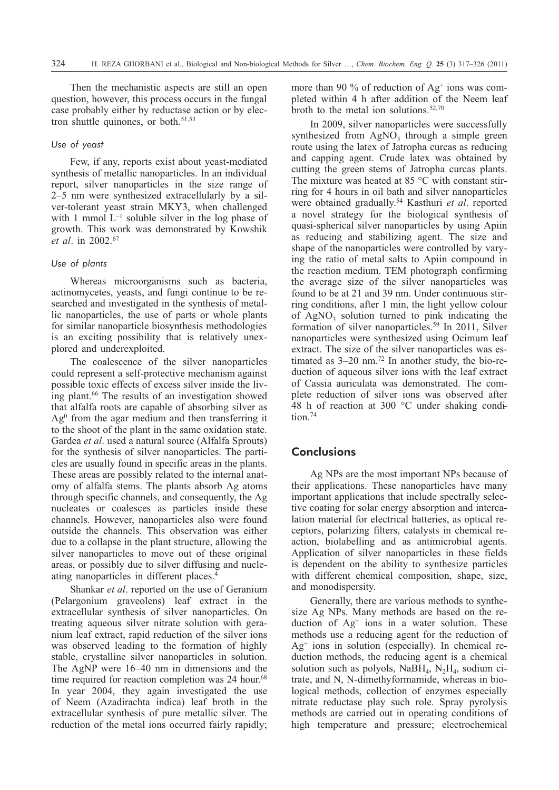Then the mechanistic aspects are still an open question, however, this process occurs in the fungal case probably either by reductase action or by electron shuttle quinones, or both.<sup>51,53</sup>

#### *Use of yeast*

Few, if any, reports exist about yeast-mediated synthesis of metallic nanoparticles. In an individual report, silver nanoparticles in the size range of 2–5 nm were synthesized extracellularly by a silver-tolerant yeast strain MKY3, when challenged with 1 mmol  $L^{-1}$  soluble silver in the log phase of growth. This work was demonstrated by Kowshik *et al*. in 2002.67

# *Use of plants*

Whereas microorganisms such as bacteria, actinomycetes, yeasts, and fungi continue to be researched and investigated in the synthesis of metallic nanoparticles, the use of parts or whole plants for similar nanoparticle biosynthesis methodologies is an exciting possibility that is relatively unexplored and underexploited.

The coalescence of the silver nanoparticles could represent a self-protective mechanism against possible toxic effects of excess silver inside the living plant.66 The results of an investigation showed that alfalfa roots are capable of absorbing silver as  $Ag<sup>0</sup>$  from the agar medium and then transferring it to the shoot of the plant in the same oxidation state. Gardea *et al*. used a natural source (Alfalfa Sprouts) for the synthesis of silver nanoparticles. The particles are usually found in specific areas in the plants. These areas are possibly related to the internal anatomy of alfalfa stems. The plants absorb Ag atoms through specific channels, and consequently, the Ag nucleates or coalesces as particles inside these channels. However, nanoparticles also were found outside the channels. This observation was either due to a collapse in the plant structure, allowing the silver nanoparticles to move out of these original areas, or possibly due to silver diffusing and nucleating nanoparticles in different places.4

Shankar *et al*. reported on the use of Geranium (Pelargonium graveolens) leaf extract in the extracellular synthesis of silver nanoparticles. On treating aqueous silver nitrate solution with geranium leaf extract, rapid reduction of the silver ions was observed leading to the formation of highly stable, crystalline silver nanoparticles in solution. The AgNP were 16–40 nm in dimensions and the time required for reaction completion was 24 hour.<sup>68</sup> In year 2004, they again investigated the use of Neem (Azadirachta indica) leaf broth in the extracellular synthesis of pure metallic silver. The reduction of the metal ions occurred fairly rapidly; more than 90 % of reduction of  $Ag<sup>+</sup>$  ions was completed within 4 h after addition of the Neem leaf broth to the metal ion solutions.52,70

In 2009, silver nanoparticles were successfully synthesized from  $AgNO<sub>3</sub>$  through a simple green route using the latex of Jatropha curcas as reducing and capping agent. Crude latex was obtained by cutting the green stems of Jatropha curcas plants. The mixture was heated at 85 °C with constant stirring for 4 hours in oil bath and silver nanoparticles were obtained gradually.54 Kasthuri *et al*. reported a novel strategy for the biological synthesis of quasi-spherical silver nanoparticles by using Apiin as reducing and stabilizing agent. The size and shape of the nanoparticles were controlled by varying the ratio of metal salts to Apiin compound in the reaction medium. TEM photograph confirming the average size of the silver nanoparticles was found to be at 21 and 39 nm. Under continuous stirring conditions, after 1 min, the light yellow colour of  $AgNO<sub>3</sub>$  solution turned to pink indicating the formation of silver nanoparticles.59 In 2011, Silver nanoparticles were synthesized using Ocimum leaf extract. The size of the silver nanoparticles was estimated as  $3-20$  nm.<sup>72</sup> In another study, the bio-reduction of aqueous silver ions with the leaf extract of Cassia auriculata was demonstrated. The complete reduction of silver ions was observed after 48 h of reaction at 300 °C under shaking condition.74

# **Conclusions**

Ag NPs are the most important NPs because of their applications. These nanoparticles have many important applications that include spectrally selective coating for solar energy absorption and intercalation material for electrical batteries, as optical receptors, polarizing filters, catalysts in chemical reaction, biolabelling and as antimicrobial agents. Application of silver nanoparticles in these fields is dependent on the ability to synthesize particles with different chemical composition, shape, size, and monodispersity.

Generally, there are various methods to synthesize Ag NPs. Many methods are based on the reduction of  $Ag<sup>+</sup>$  ions in a water solution. These methods use a reducing agent for the reduction of  $Ag<sup>+</sup>$  ions in solution (especially). In chemical reduction methods, the reducing agent is a chemical solution such as polyols,  $NaBH<sub>4</sub>, N<sub>2</sub>H<sub>4</sub>$ , sodium citrate, and N, N-dimethyformamide, whereas in biological methods, collection of enzymes especially nitrate reductase play such role. Spray pyrolysis methods are carried out in operating conditions of high temperature and pressure; electrochemical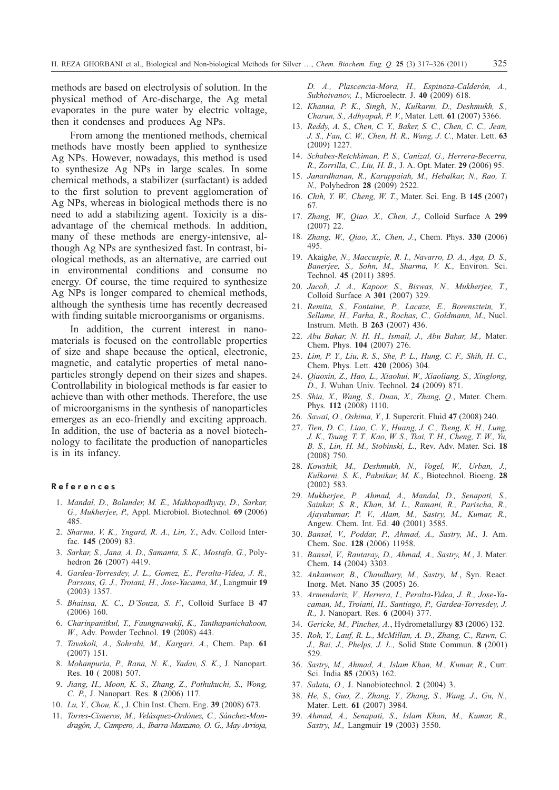methods are based on electrolysis of solution. In the physical method of Arc-discharge, the Ag metal evaporates in the pure water by electric voltage, then it condenses and produces Ag NPs.

From among the mentioned methods, chemical methods have mostly been applied to synthesize Ag NPs. However, nowadays, this method is used to synthesize Ag NPs in large scales. In some chemical methods, a stabilizer (surfactant) is added to the first solution to prevent agglomeration of Ag NPs, whereas in biological methods there is no need to add a stabilizing agent. Toxicity is a disadvantage of the chemical methods. In addition, many of these methods are energy-intensive, although Ag NPs are synthesized fast. In contrast, biological methods, as an alternative, are carried out in environmental conditions and consume no energy. Of course, the time required to synthesize Ag NPs is longer compared to chemical methods, although the synthesis time has recently decreased with finding suitable microorganisms or organisms.

In addition, the current interest in nanomaterials is focused on the controllable properties of size and shape because the optical, electronic, magnetic, and catalytic properties of metal nanoparticles strongly depend on their sizes and shapes. Controllability in biological methods is far easier to achieve than with other methods. Therefore, the use of microorganisms in the synthesis of nanoparticles emerges as an eco-friendly and exciting approach. In addition, the use of bacteria as a novel biotechnology to facilitate the production of nanoparticles is in its infancy.

#### References

- 1. *Mandal, D., Bolander, M. E., Mukhopadhyay, D., Sarkar, G., Mukherjee, P.,* Appl. Microbiol. Biotechnol. **69** (2006) 485.
- 2. *Sharma, V. K., Yngard, R. A., Lin, Y.*, Adv. Colloid Interfac. **145** (2009) 83.
- 3. *Sarkar, S., Jana, A. D., Samanta, S. K., Mostafa, G.*, Polyhedron **26** (2007) 4419.
- 4. *Gardea-Torresdey, J. L., Gomez, E., Peralta-Videa, J. R., Parsons, G. J., Troiani, H., Jose-Yacama, M.*, Langmuir **19** (2003) 1357.
- 5. *Bhainsa, K. C., D'Souza, S. F.*, Colloid Surface B **47** (2006) 160.
- 6. *Charinpanitkul, T., Faungnawakij, K., Tanthapanichakoon, W.*, Adv. Powder Technol. **19** (2008) 443.
- 7. *Tavakoli, A., Sohrabi, M., Kargari, A.*, Chem. Pap. **61** (2007) 151.
- 8. *Mohanpuria, P., Rana, N. K., Yadav, S. K.*, J. Nanopart. Res. **10** ( 2008) 507.
- 9. *Jiang, H., Moon, K. S., Zhang, Z., Pothukuchi, S., Wong, C. P*., J. Nanopart. Res. **8** (2006) 117.
- 10. *Lu, Y., Chou, K.*, J. Chin Inst. Chem. Eng. **39** (2008) 673.
- 11. *Torres-Cisneros, M., Velásquez-Ordónez, C., Sánchez-Mondragón, J., Campero, A., Ibarra-Manzano, O. G., May-Arrioja,*

*D. A., Plascencia-Mora, H., Espinoza-Calderón, A., Sukhoivanov, I.*, Microelectr. J. **40** (2009) 618.

- 12. *Khanna, P. K., Singh, N., Kulkarni, D., Deshmukh, S., Charan, S., Adhyapak, P. V.*, Mater. Lett. **61** (2007) 3366.
- 13. *Reddy, A. S., Chen, C. Y., Baker, S. C., Chen, C. C., Jean, J. S., Fan, C. W., Chen, H. R., Wang, J. C.,* Mater. Lett. **63** (2009) 1227.
- 14. *Schabes-Retchkiman, P. S., Canizal, G., Herrera-Becerra, R., Zorrilla, C., Liu, H. B.,* J. A. Opt. Mater. **29** (2006) 95.
- 15. *Janardhanan, R., Karuppaiah, M., Hebalkar, N., Rao, T. N.,* Polyhedron **28** (2009) 2522.
- 16. *Chih, Y. W., Cheng, W. T.*, Mater. Sci. Eng. B **145** (2007) 67.
- 17. *Zhang, W., Qiao, X., Chen, J.*, Colloid Surface A **299** (2007) 22.
- 18. *Zhang, W., Qiao, X., Chen, J.*, Chem. Phys. **330** (2006) 495.
- 19. Akaig*he, N., Maccuspie, R. I., Navarro, D. A., Aga, D. S., Banerjee, S., Sohn, M., Sharma, V. K.,* Environ. Sci. Technol. **45** (2011) 3895.
- 20. *Jacob, J. A., Kapoor, S., Biswas, N., Mukherjee, T.*, Colloid Surface A **301** (2007) 329.
- 21. *Remita, S., Fontaine, P., Lacaze, E., Borensztein, Y., Sellame, H., Farha, R., Rochas, C., Goldmann, M.,* Nucl. Instrum. Meth. B **263** (2007) 436.
- 22. *Abu Bakar, N. H. H., Ismail, J., Abu Bakar, M.,* Mater. Chem. Phys. **104** (2007) 276.
- 23. *Lim, P. Y., Liu, R. S., She, P. L., Hung, C. F., Shih, H. C.,* Chem. Phys. Lett. **420** (2006) 304.
- 24. *Qiaoxin, Z., Hao, L., Xiaohui, W., Xiaoliang, S., Xinglong, D.,* J. Wuhan Univ. Technol. **24** (2009) 871.
- 25. *Shia, X., Wang, S., Duan, X., Zhang, Q.*, Mater. Chem. Phys. **112** (2008) 1110.
- 26. *Sawai, O., Oshima, Y.*, J. Supercrit. Fluid **47** (2008) 240.
- 27. *Tien, D. C., Liao, C. Y., Huang, J. C., Tseng, K. H., Lung, J. K., Tsung, T. T., Kao, W. S., Tsai, T. H., Cheng, T. W., Yu, B. S., Lin, H. M., Stobinski, L.,* Rev. Adv. Mater. Sci. **18** (2008) 750.
- 28. *Kowshik, M., Deshmukh, N., Vogel, W., Urban, J., Kulkarni, S. K., Paknikar, M. K.*, Biotechnol. Bioeng. **28** (2002) 583.
- 29. *Mukherjee, P., Ahmad, A., Mandal, D., Senapati, S., Sainkar, S. R., Khan, M. L., Ramani, R., Parischa, R., Ajayakumar, P. V., Alam, M., Sastry, M., Kumar, R.,* Angew. Chem. Int. Ed. **40** (2001) 3585.
- 30. *Bansal, V., Poddar, P., Ahmad, A., Sastry, M.,* J. Am. Chem. Soc. **128** (2006) 11958.
- 31. *Bansal, V., Rautaray, D., Ahmad, A., Sastry, M.*, J. Mater. Chem. **14** (2004) 3303.
- 32. *Ankamwar, B., Chaudhary, M., Sastry, M.*, Syn. React. Inorg. Met. Nano **35** (2005) 26.
- 33. *Armendariz, V., Herrera, I., Peralta-Videa, J. R., Jose-Yacaman, M., Troiani, H., Santiago, P., Gardea-Torresdey, J. R.,* J. Nanopart. Res. **6** (2004) 377.
- 34. *Gericke, M., Pinches, A.*, Hydrometallurgy **83** (2006) 132.
- 35. *Roh, Y., Lauf, R. L., McMillan, A. D., Zhang, C., Rawn, C. J., Bai, J., Phelps, J. L.,* Solid State Commun. **8** (2001) 529.
- 36. *Sastry, M., Ahmad, A., Islam Khan, M., Kumar, R.,* Curr. Sci. India **85** (2003) 162.
- 37. *Salata, O.,* J. Nanobiotechnol. **2** (2004) 3.
- 38. *He, S., Guo, Z., Zhang, Y., Zhang, S., Wang, J., Gu, N.,* Mater. Lett. **61** (2007) 3984.
- 39. *Ahmad, A., Senapati, S., Islam Khan, M., Kumar, R., Sastry, M.,* Langmuir **19** (2003) 3550.